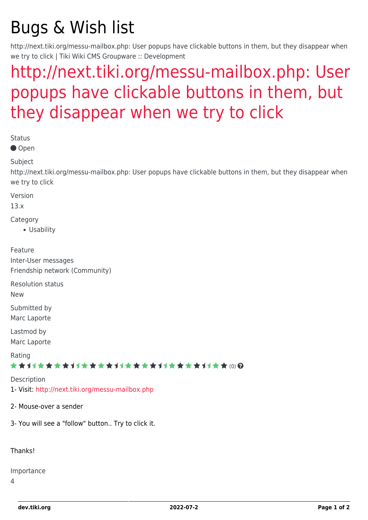# Bugs & Wish list

http://next.tiki.org/messu-mailbox.php: User popups have clickable buttons in them, but they disappear when we try to click | Tiki Wiki CMS Groupware :: Development

## [http://next.tiki.org/messu-mailbox.php: User](https://dev.tiki.org/item5335-http-next-tiki-org-messu-mailbox-php-User-popups-have-clickable-buttons-in-them-but-they-disappear-when-we-try-to-click) [popups have clickable buttons in them, but](https://dev.tiki.org/item5335-http-next-tiki-org-messu-mailbox-php-User-popups-have-clickable-buttons-in-them-but-they-disappear-when-we-try-to-click) [they disappear when we try to click](https://dev.tiki.org/item5335-http-next-tiki-org-messu-mailbox-php-User-popups-have-clickable-buttons-in-them-but-they-disappear-when-we-try-to-click)

Status

● Open

Subject

http://next.tiki.org/messu-mailbox.php: User popups have clickable buttons in them, but they disappear when we try to click

Version

13.x

**Category** 

Usability

Feature Inter-User messages Friendship network (Community)

Resolution status

New

Submitted by Marc Laporte

Lastmod by Marc Laporte

Rating

#### \*\*\*\*\*\*\*\*\*\*\*\*\*\*\*\*\*\*\*\*\*\*\*\*\*\*\*\*\*\*

**Description** 1- Visit: <http://next.tiki.org/messu-mailbox.php>

2- Mouse-over a sender

3- You will see a "follow" button.. Try to click it.

Thanks!

Importance

4